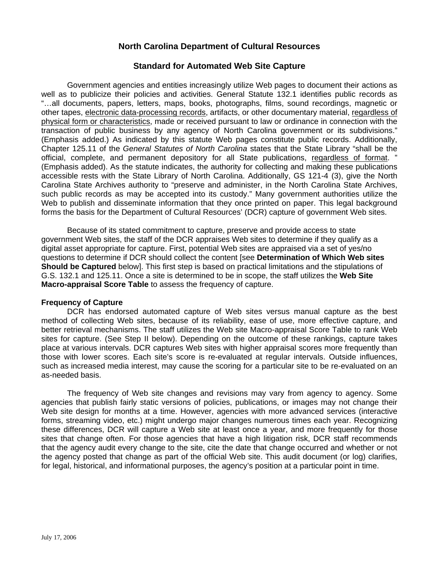# **North Carolina Department of Cultural Resources**

# **Standard for Automated Web Site Capture**

Government agencies and entities increasingly utilize Web pages to document their actions as well as to publicize their policies and activities. General Statute 132.1 identifies public records as "…all documents, papers, letters, maps, books, photographs, films, sound recordings, magnetic or other tapes, electronic data-processing records, artifacts, or other documentary material, regardless of physical form or characteristics, made or received pursuant to law or ordinance in connection with the transaction of public business by any agency of North Carolina government or its subdivisions." (Emphasis added.) As indicated by this statute Web pages constitute public records. Additionally, Chapter 125.11 of the *General Statutes of North Carolina* states that the State Library "shall be the official, complete, and permanent depository for all State publications, regardless of format. " (Emphasis added). As the statute indicates, the authority for collecting and making these publications accessible rests with the State Library of North Carolina. Additionally, GS 121-4 (3), give the North Carolina State Archives authority to "preserve and administer, in the North Carolina State Archives, such public records as may be accepted into its custody." Many government authorities utilize the Web to publish and disseminate information that they once printed on paper. This legal background forms the basis for the Department of Cultural Resources' (DCR) capture of government Web sites.

Because of its stated commitment to capture, preserve and provide access to state government Web sites, the staff of the DCR appraises Web sites to determine if they qualify as a digital asset appropriate for capture. First, potential Web sites are appraised via a set of yes/no questions to determine if DCR should collect the content [see **Determination of Which Web sites Should be Captured** below]. This first step is based on practical limitations and the stipulations of G.S. 132.1 and 125.11. Once a site is determined to be in scope, the staff utilizes the **Web Site Macro-appraisal Score Table** to assess the frequency of capture.

#### **Frequency of Capture**

DCR has endorsed automated capture of Web sites versus manual capture as the best method of collecting Web sites, because of its reliability, ease of use, more effective capture, and better retrieval mechanisms. The staff utilizes the Web site Macro-appraisal Score Table to rank Web sites for capture. (See Step II below). Depending on the outcome of these rankings, capture takes place at various intervals. DCR captures Web sites with higher appraisal scores more frequently than those with lower scores. Each site's score is re-evaluated at regular intervals. Outside influences, such as increased media interest, may cause the scoring for a particular site to be re-evaluated on an as-needed basis.

The frequency of Web site changes and revisions may vary from agency to agency. Some agencies that publish fairly static versions of policies, publications, or images may not change their Web site design for months at a time. However, agencies with more advanced services (interactive forms, streaming video, etc.) might undergo major changes numerous times each year. Recognizing these differences, DCR will capture a Web site at least once a year, and more frequently for those sites that change often. For those agencies that have a high litigation risk, DCR staff recommends that the agency audit every change to the site, cite the date that change occurred and whether or not the agency posted that change as part of the official Web site. This audit document (or log) clarifies, for legal, historical, and informational purposes, the agency's position at a particular point in time.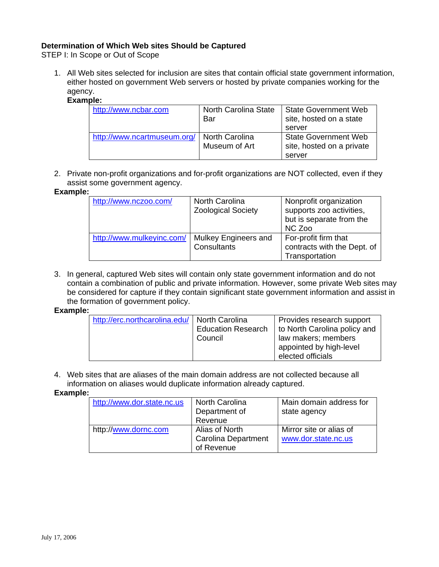# **Determination of Which Web sites Should be Captured**

STEP I: In Scope or Out of Scope

1. All Web sites selected for inclusion are sites that contain official state government information, either hosted on government Web servers or hosted by private companies working for the agency.

## **Example:**

| http://www.ncbar.com        | North Carolina State<br>Bar     | <b>State Government Web</b><br>site, hosted on a state   |
|-----------------------------|---------------------------------|----------------------------------------------------------|
|                             |                                 | server                                                   |
| http://www.ncartmuseum.org/ | North Carolina<br>Museum of Art | <b>State Government Web</b><br>site, hosted on a private |
|                             |                                 | server                                                   |

2. Private non-profit organizations and for-profit organizations are NOT collected, even if they assist some government agency.

## **Example:**

| http://www.nczoo.com/     | North Carolina<br><b>Zoological Society</b> | Nonprofit organization<br>supports zoo activities,<br>but is separate from the<br>NC Zoo |
|---------------------------|---------------------------------------------|------------------------------------------------------------------------------------------|
| http://www.mulkeyinc.com/ | Mulkey Engineers and<br>Consultants         | For-profit firm that<br>contracts with the Dept. of<br>Transportation                    |

3. In general, captured Web sites will contain only state government information and do not contain a combination of public and private information. However, some private Web sites may be considered for capture if they contain significant state government information and assist in the formation of government policy.

### **Example:**

| http://erc.northcarolina.edu/   North Carolina | <b>Education Research</b><br>Council | Provides research support<br>to North Carolina policy and<br>law makers; members<br>appointed by high-level<br>elected officials |
|------------------------------------------------|--------------------------------------|----------------------------------------------------------------------------------------------------------------------------------|
|------------------------------------------------|--------------------------------------|----------------------------------------------------------------------------------------------------------------------------------|

4. Web sites that are aliases of the main domain address are not collected because all information on aliases would duplicate information already captured.

#### **Example:**

| http://www.dor.state.nc.us | <b>North Carolina</b><br>Department of<br>Revenue          | Main domain address for<br>state agency        |
|----------------------------|------------------------------------------------------------|------------------------------------------------|
| http://www.dornc.com       | Alias of North<br><b>Carolina Department</b><br>of Revenue | Mirror site or alias of<br>www.dor.state.nc.us |